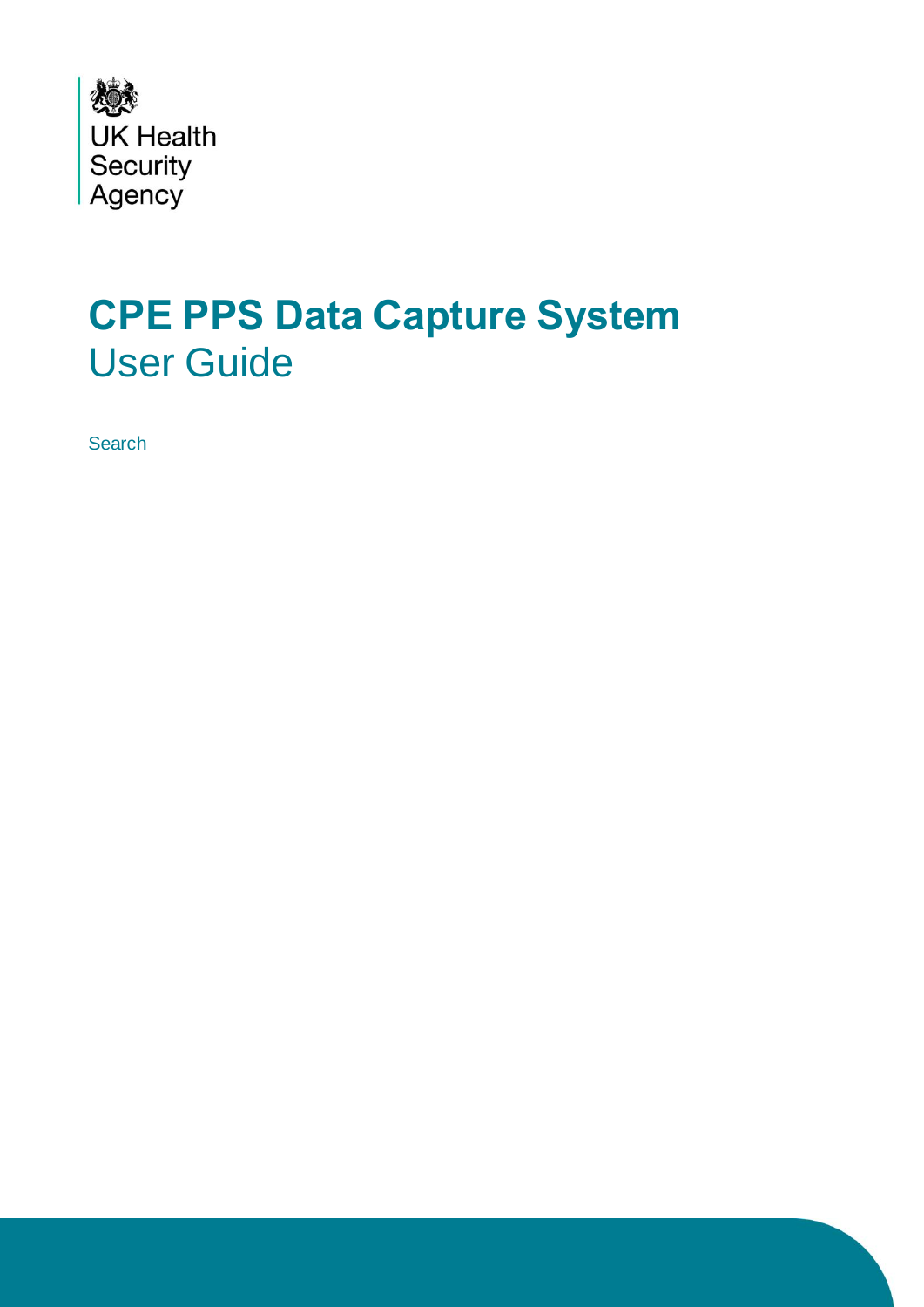

# <span id="page-0-0"></span>**CPE PPS Data Capture System** User Guide

**Search**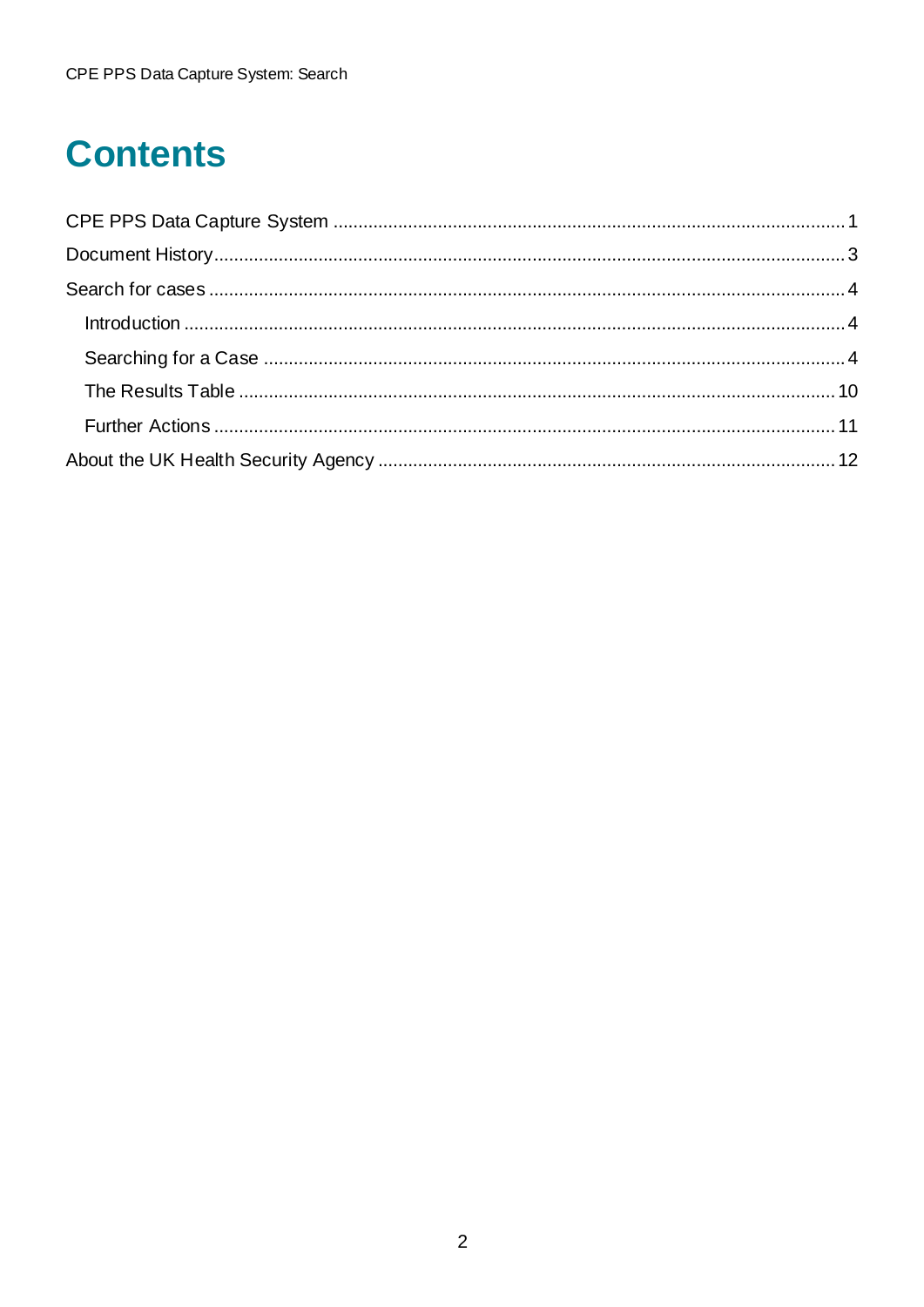# **Contents**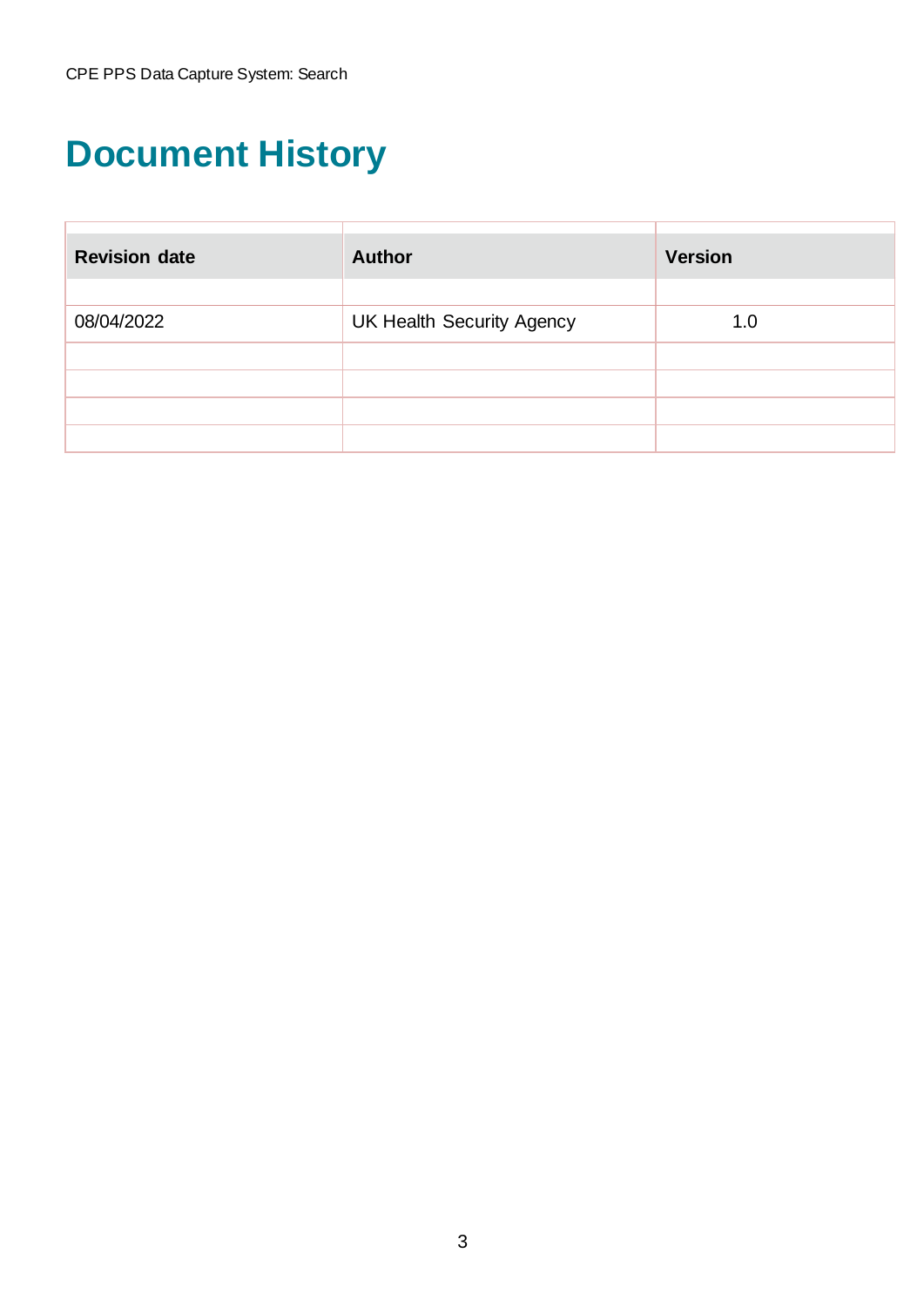# <span id="page-2-0"></span>**Document History**

| <b>Revision date</b> | <b>Author</b>                    | <b>Version</b> |  |
|----------------------|----------------------------------|----------------|--|
|                      |                                  |                |  |
| 08/04/2022           | <b>UK Health Security Agency</b> | 1.0            |  |
|                      |                                  |                |  |
|                      |                                  |                |  |
|                      |                                  |                |  |
|                      |                                  |                |  |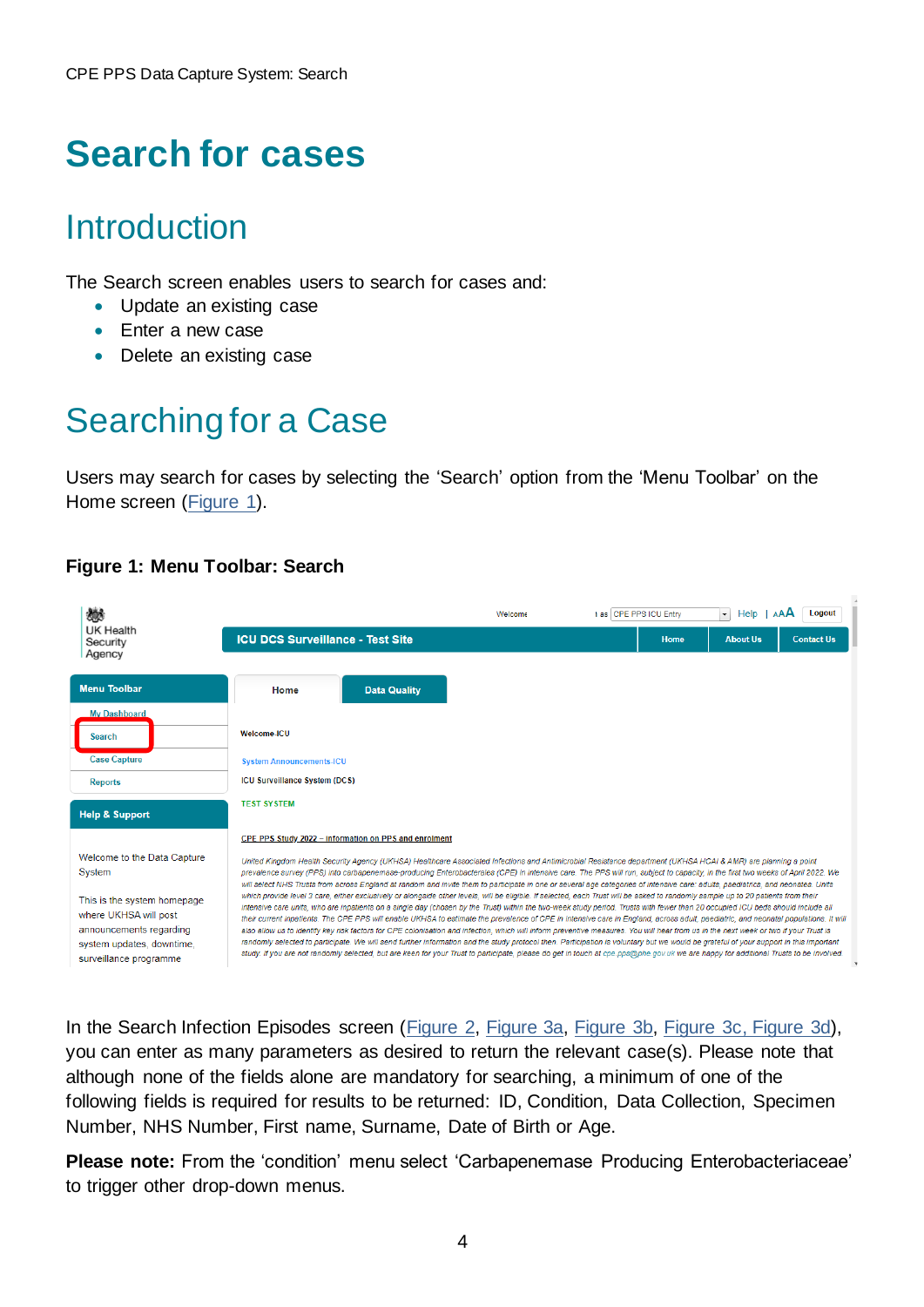## <span id="page-3-0"></span>**Search for cases**

## <span id="page-3-1"></span>Introduction

The Search screen enables users to search for cases and:

- Update an existing case
- Enter a new case
- Delete an existing case

## <span id="page-3-2"></span>Searching for a Case

Users may search for cases by selecting the 'Search' option from the 'Menu Toolbar' on the Home screen [\(Figure 1\)](#page-3-3).

### <span id="page-3-3"></span>**Figure 1: Menu Toolbar: Search**



In the Search Infection Episodes screen [\(Figure 2,](#page-4-0) [Figure 3a,](#page-7-0) [Figure 3b,](#page-7-1) [Figure 3c,](#page-8-0) [Figure 3d\)](#page-8-1), you can enter as many parameters as desired to return the relevant case(s). Please note that although none of the fields alone are mandatory for searching, a minimum of one of the following fields is required for results to be returned: ID, Condition, Data Collection, Specimen Number, NHS Number, First name, Surname, Date of Birth or Age.

**Please note:** From the 'condition' menu select 'Carbapenemase Producing Enterobacteriaceae' to trigger other drop-down menus.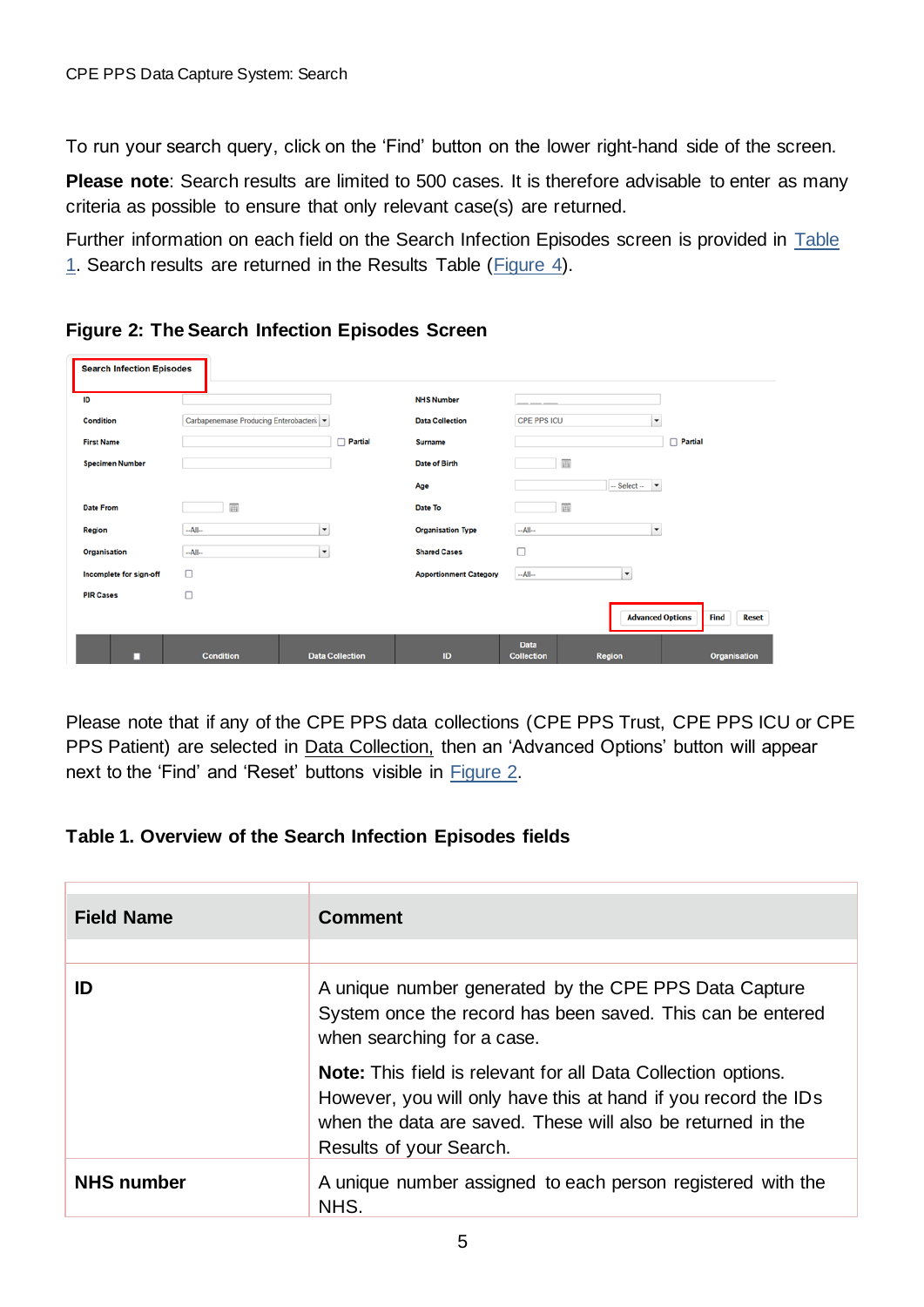To run your search query, click on the 'Find' button on the lower right-hand side of the screen.

**Please note**: Search results are limited to 500 cases. It is therefore advisable to enter as many criteria as possible to ensure that only relevant case(s) are returned.

Further information on each field on the Search Infection Episodes screen is provided in [Table](#page-4-1)  [1.](#page-4-1) Search results are returned in the Results Table [\(Figure 4\)](#page-9-1).

| <b>Search Infection Episodes</b> |                                          |                          |                               |                                  |                 |                                                        |
|----------------------------------|------------------------------------------|--------------------------|-------------------------------|----------------------------------|-----------------|--------------------------------------------------------|
| ID                               |                                          |                          | <b>NHS Number</b>             |                                  |                 |                                                        |
| Condition                        | Carbapenemase Producing Enterobacteri: v |                          | <b>Data Collection</b>        | <b>CPE PPS ICU</b>               |                 | ۰                                                      |
| <b>First Name</b>                |                                          | Partial                  | Surname                       |                                  |                 | Partial                                                |
| <b>Specimen Number</b>           |                                          |                          | Date of Birth                 |                                  | 圃               |                                                        |
|                                  |                                          |                          | Age                           |                                  | $-$ Select $ -$ |                                                        |
| <b>Date From</b>                 | 画                                        |                          | Date To                       |                                  | 画               |                                                        |
| Region                           | $-A$ ll--                                | $\overline{\phantom{a}}$ | <b>Organisation Type</b>      | $-AII-$                          |                 | ۰                                                      |
| Organisation                     | $-AII-$                                  | $\overline{\phantom{a}}$ | <b>Shared Cases</b>           | о                                |                 |                                                        |
| Incomplete for sign-off          | □                                        |                          | <b>Apportionment Category</b> | $-AII-$                          | $\checkmark$    |                                                        |
| <b>PIR Cases</b>                 | O                                        |                          |                               |                                  |                 |                                                        |
|                                  |                                          |                          |                               |                                  |                 | <b>Advanced Options</b><br><b>Find</b><br><b>Reset</b> |
| □                                | <b>Condition</b>                         | <b>Data Collection</b>   | ID                            | <b>Data</b><br><b>Collection</b> | <b>Region</b>   | <b>Organisation</b>                                    |

### <span id="page-4-0"></span>**Figure 2: The Search Infection Episodes Screen**

Please note that if any of the CPE PPS data collections (CPE PPS Trust, CPE PPS ICU or CPE PPS Patient) are selected in Data Collection, then an 'Advanced Options' button will appear next to the 'Find' and 'Reset' buttons visible in [Figure 2.](#page-4-0)

### <span id="page-4-1"></span>**Table 1. Overview of the Search Infection Episodes fields**

| <b>Field Name</b> | <b>Comment</b>                                                                                                                                                                                                                   |
|-------------------|----------------------------------------------------------------------------------------------------------------------------------------------------------------------------------------------------------------------------------|
| ID                | A unique number generated by the CPE PPS Data Capture<br>System once the record has been saved. This can be entered<br>when searching for a case.                                                                                |
|                   | <b>Note:</b> This field is relevant for all Data Collection options.<br>However, you will only have this at hand if you record the IDs<br>when the data are saved. These will also be returned in the<br>Results of your Search. |
| <b>NHS number</b> | A unique number assigned to each person registered with the<br>NHS.                                                                                                                                                              |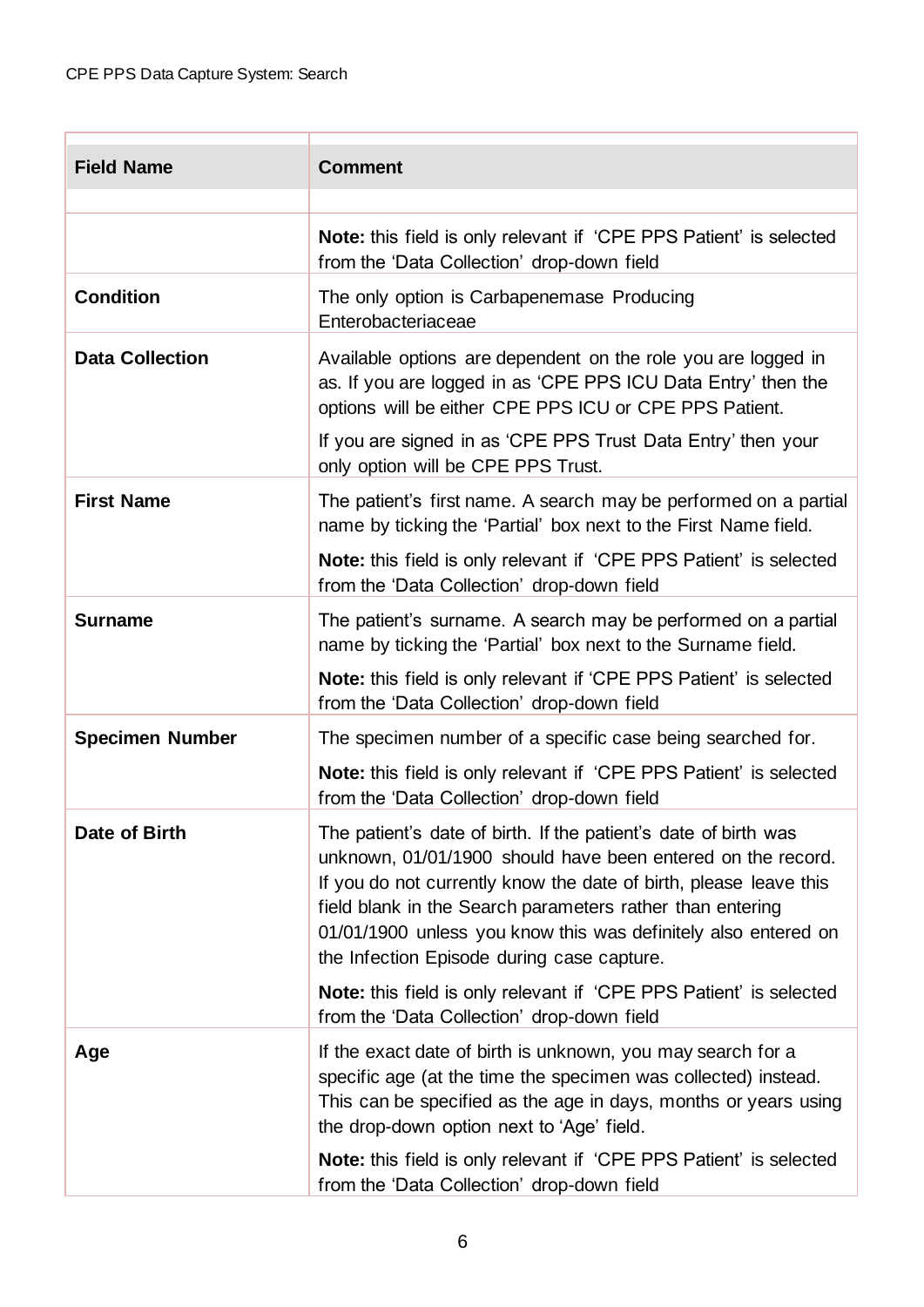| <b>Field Name</b>      | <b>Comment</b>                                                                                                                                                                                                                                                                                                                                                                   |  |  |  |  |
|------------------------|----------------------------------------------------------------------------------------------------------------------------------------------------------------------------------------------------------------------------------------------------------------------------------------------------------------------------------------------------------------------------------|--|--|--|--|
|                        |                                                                                                                                                                                                                                                                                                                                                                                  |  |  |  |  |
|                        | <b>Note:</b> this field is only relevant if 'CPE PPS Patient' is selected<br>from the 'Data Collection' drop-down field                                                                                                                                                                                                                                                          |  |  |  |  |
| <b>Condition</b>       | The only option is Carbapenemase Producing<br>Enterobacteriaceae                                                                                                                                                                                                                                                                                                                 |  |  |  |  |
| <b>Data Collection</b> | Available options are dependent on the role you are logged in<br>as. If you are logged in as 'CPE PPS ICU Data Entry' then the<br>options will be either CPE PPS ICU or CPE PPS Patient.<br>If you are signed in as 'CPE PPS Trust Data Entry' then your                                                                                                                         |  |  |  |  |
|                        | only option will be CPE PPS Trust.                                                                                                                                                                                                                                                                                                                                               |  |  |  |  |
| <b>First Name</b>      | The patient's first name. A search may be performed on a partial<br>name by ticking the 'Partial' box next to the First Name field.                                                                                                                                                                                                                                              |  |  |  |  |
|                        | Note: this field is only relevant if 'CPE PPS Patient' is selected<br>from the 'Data Collection' drop-down field                                                                                                                                                                                                                                                                 |  |  |  |  |
| <b>Surname</b>         | The patient's surname. A search may be performed on a partial<br>name by ticking the 'Partial' box next to the Surname field.<br><b>Note:</b> this field is only relevant if 'CPE PPS Patient' is selected                                                                                                                                                                       |  |  |  |  |
|                        | from the 'Data Collection' drop-down field                                                                                                                                                                                                                                                                                                                                       |  |  |  |  |
| <b>Specimen Number</b> | The specimen number of a specific case being searched for.                                                                                                                                                                                                                                                                                                                       |  |  |  |  |
|                        | <b>Note:</b> this field is only relevant if 'CPE PPS Patient' is selected<br>from the 'Data Collection' drop-down field                                                                                                                                                                                                                                                          |  |  |  |  |
| Date of Birth          | The patient's date of birth. If the patient's date of birth was<br>unknown, 01/01/1900 should have been entered on the record.<br>If you do not currently know the date of birth, please leave this<br>field blank in the Search parameters rather than entering<br>01/01/1900 unless you know this was definitely also entered on<br>the Infection Episode during case capture. |  |  |  |  |
|                        | <b>Note:</b> this field is only relevant if 'CPE PPS Patient' is selected<br>from the 'Data Collection' drop-down field                                                                                                                                                                                                                                                          |  |  |  |  |
| Age                    | If the exact date of birth is unknown, you may search for a<br>specific age (at the time the specimen was collected) instead.<br>This can be specified as the age in days, months or years using<br>the drop-down option next to 'Age' field.                                                                                                                                    |  |  |  |  |
|                        | <b>Note:</b> this field is only relevant if 'CPE PPS Patient' is selected<br>from the 'Data Collection' drop-down field                                                                                                                                                                                                                                                          |  |  |  |  |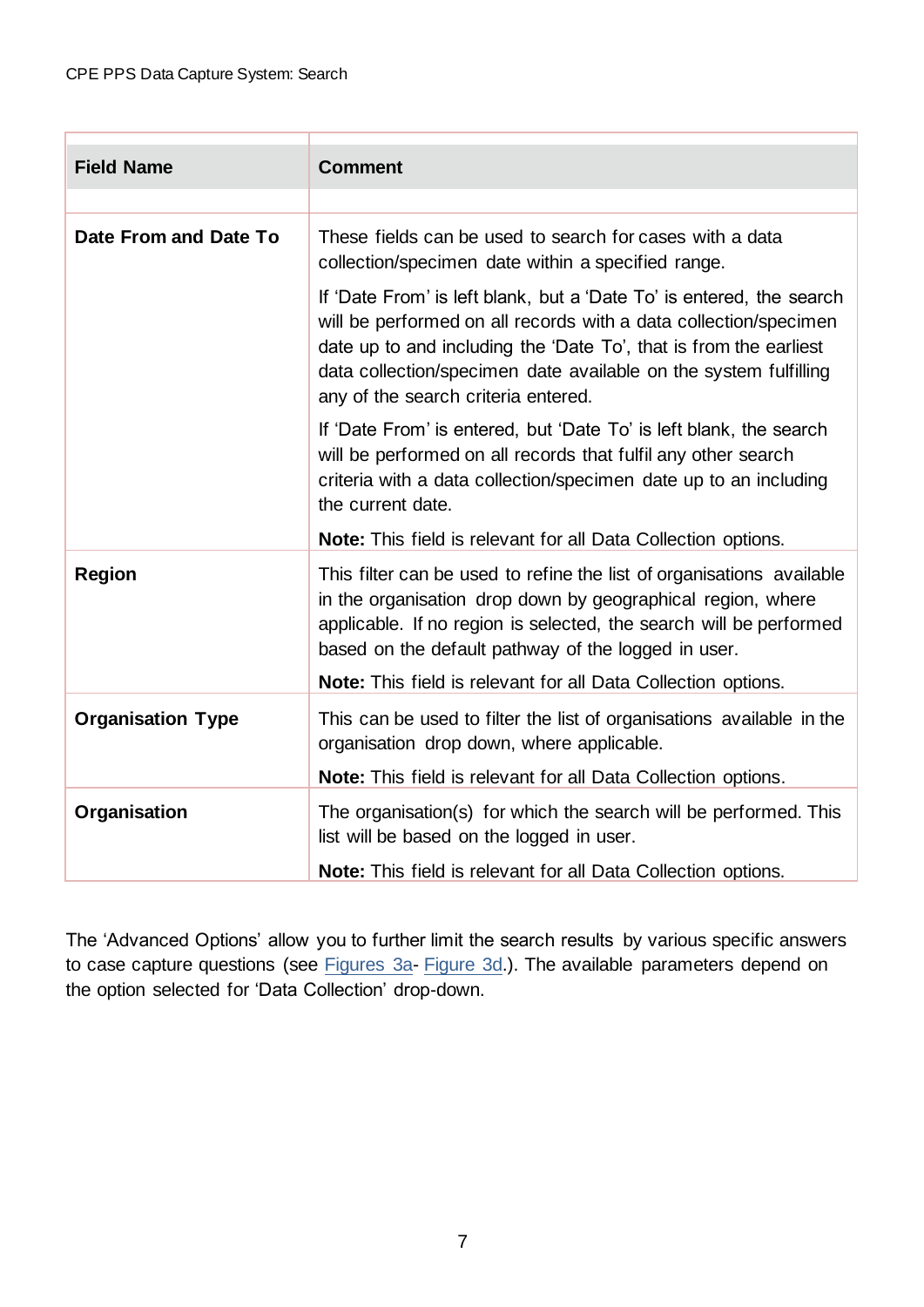| <b>Field Name</b>        | <b>Comment</b>                                                                                                                                                                                                                                                                                                           |
|--------------------------|--------------------------------------------------------------------------------------------------------------------------------------------------------------------------------------------------------------------------------------------------------------------------------------------------------------------------|
|                          |                                                                                                                                                                                                                                                                                                                          |
| Date From and Date To    | These fields can be used to search for cases with a data<br>collection/specimen date within a specified range.                                                                                                                                                                                                           |
|                          | If 'Date From' is left blank, but a 'Date To' is entered, the search<br>will be performed on all records with a data collection/specimen<br>date up to and including the 'Date To', that is from the earliest<br>data collection/specimen date available on the system fulfilling<br>any of the search criteria entered. |
|                          | If 'Date From' is entered, but 'Date To' is left blank, the search<br>will be performed on all records that fulfil any other search<br>criteria with a data collection/specimen date up to an including<br>the current date.                                                                                             |
|                          | Note: This field is relevant for all Data Collection options.                                                                                                                                                                                                                                                            |
| <b>Region</b>            | This filter can be used to refine the list of organisations available<br>in the organisation drop down by geographical region, where<br>applicable. If no region is selected, the search will be performed<br>based on the default pathway of the logged in user.                                                        |
|                          | Note: This field is relevant for all Data Collection options.                                                                                                                                                                                                                                                            |
| <b>Organisation Type</b> | This can be used to filter the list of organisations available in the<br>organisation drop down, where applicable.                                                                                                                                                                                                       |
|                          | <b>Note:</b> This field is relevant for all Data Collection options.                                                                                                                                                                                                                                                     |
| Organisation             | The organisation(s) for which the search will be performed. This<br>list will be based on the logged in user.                                                                                                                                                                                                            |
|                          | Note: This field is relevant for all Data Collection options.                                                                                                                                                                                                                                                            |

The 'Advanced Options' allow you to further limit the search results by various specific answers to case capture questions (see [Figures 3a-](#page-7-0) [Figure 3d.](#page-8-1)). The available parameters depend on the option selected for 'Data Collection' drop-down.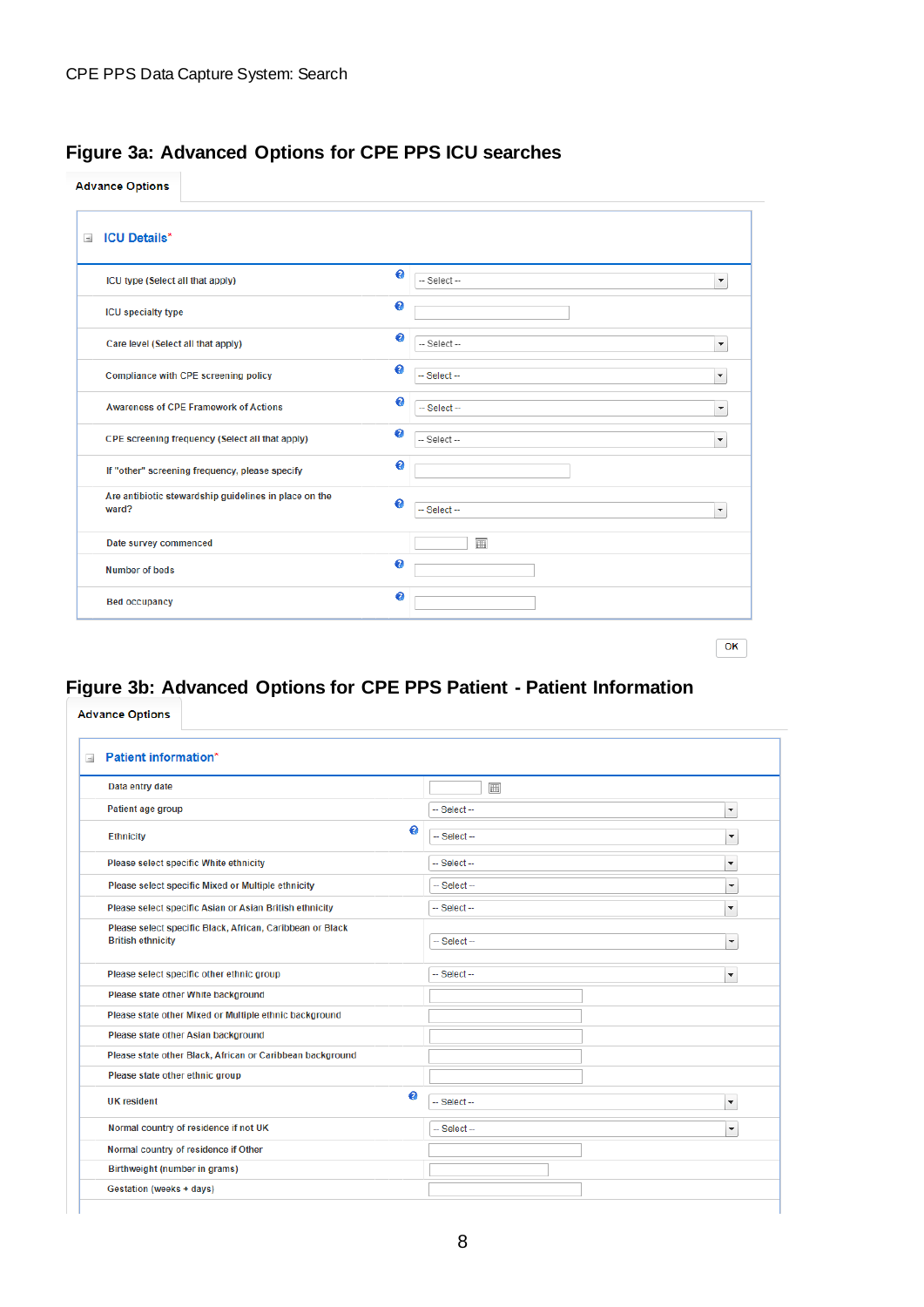## <span id="page-7-0"></span>**Figure 3a: Advanced Options for CPE PPS ICU searches**

**Advance Options** 

| ICU type (Select all that apply)                               | €         | -- Select --   | $\bar{\phantom{a}}$      |
|----------------------------------------------------------------|-----------|----------------|--------------------------|
| <b>ICU</b> specialty type                                      | €         |                |                          |
| Care level (Select all that apply)                             | €         | -- Select --   | $\blacktriangledown$     |
| Compliance with CPE screening policy                           | $\bullet$ | $-$ Select $-$ | $\overline{\phantom{a}}$ |
| <b>Awareness of CPE Framework of Actions</b>                   | €         | $-$ Select $-$ | $\overline{\mathbf{v}}$  |
| CPE screening frequency (Select all that apply)                | $\bullet$ | -- Select --   | $\overline{\phantom{a}}$ |
| If "other" screening frequency, please specify                 | €         |                |                          |
| Are antibiotic stewardship guidelines in place on the<br>ward? | $\bullet$ | $-$ Select $-$ | $\bar{\phantom{a}}$      |
| Date survey commenced                                          |           | 圃              |                          |
| <b>Number of beds</b>                                          | €         |                |                          |
| <b>Bed occupancy</b>                                           | €         |                |                          |

## <span id="page-7-1"></span>**Figure 3b: Advanced Options for CPE PPS Patient - Patient Information**

**Advance Options** 

| <b>Patient information*</b><br>$\equiv$                                               |   |                                            |  |  |  |
|---------------------------------------------------------------------------------------|---|--------------------------------------------|--|--|--|
| Data entry date                                                                       |   | 圃                                          |  |  |  |
| Patient age group                                                                     |   | -- Select --<br>$\blacktriangledown$       |  |  |  |
| <b>Ethnicity</b>                                                                      | € | -- Select --<br>۰                          |  |  |  |
| Please select specific White ethnicity                                                |   | $-$ Select $-$<br>$\blacktriangledown$     |  |  |  |
| Please select specific Mixed or Multiple ethnicity                                    |   | -- Select --<br>٠                          |  |  |  |
| Please select specific Asian or Asian British ethnicity                               |   | $-$ Select $-$<br>۰                        |  |  |  |
| Please select specific Black, African, Caribbean or Black<br><b>British ethnicity</b> |   | ÷<br>$-$ Select $-$                        |  |  |  |
| Please select specific other ethnic group                                             |   | $-$ Select $-$<br>$\overline{\phantom{a}}$ |  |  |  |
| Please state other White background                                                   |   |                                            |  |  |  |
| Please state other Mixed or Multiple ethnic background                                |   |                                            |  |  |  |
| Please state other Asian background                                                   |   |                                            |  |  |  |
| Please state other Black, African or Caribbean background                             |   |                                            |  |  |  |
| Please state other ethnic group                                                       |   |                                            |  |  |  |
| <b>UK</b> resident                                                                    | € | -- Select --<br>$\overline{\phantom{a}}$   |  |  |  |
| Normal country of residence if not UK                                                 |   | -- Select --<br>٠                          |  |  |  |
| Normal country of residence if Other                                                  |   |                                            |  |  |  |
| Birthweight (number in grams)                                                         |   |                                            |  |  |  |
| Gestation (weeks + days)                                                              |   |                                            |  |  |  |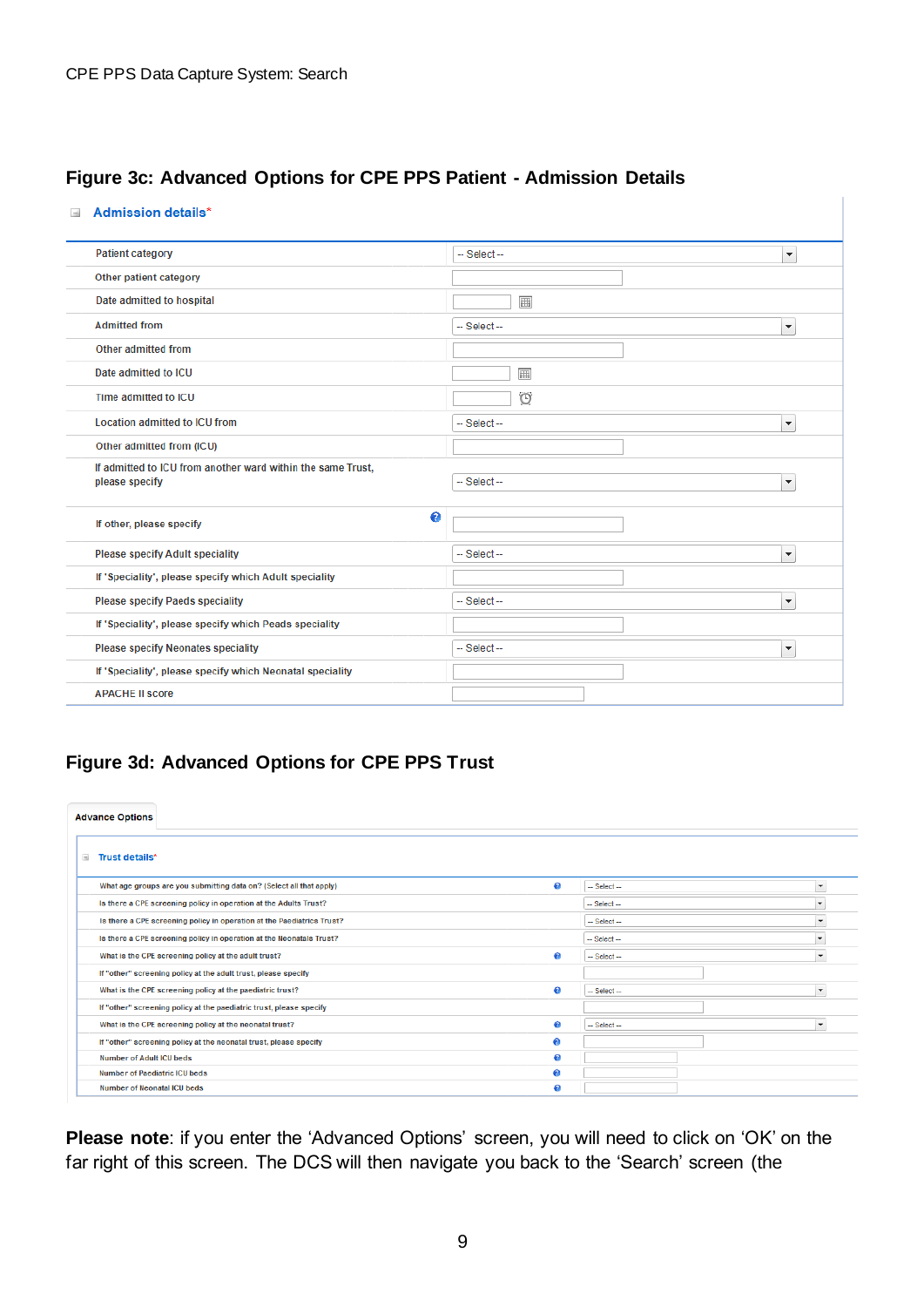### <span id="page-8-0"></span>**Figure 3c: Advanced Options for CPE PPS Patient - Admission Details**

#### Admission details\*

| <b>Patient category</b>                                                       | -- Select --<br>$\blacktriangledown$   |
|-------------------------------------------------------------------------------|----------------------------------------|
| Other patient category                                                        |                                        |
| Date admitted to hospital                                                     | 圃                                      |
| <b>Admitted from</b>                                                          | -- Select --<br>$\blacktriangledown$   |
| Other admitted from                                                           |                                        |
| Date admitted to ICU                                                          | 圃                                      |
| Time admitted to ICU                                                          | $\circ$                                |
| <b>Location admitted to ICU from</b>                                          | $-$ Select $-$<br>۰                    |
| Other admitted from (ICU)                                                     |                                        |
| If admitted to ICU from another ward within the same Trust,<br>please specify | $-$ Select $-$<br>۰                    |
| €<br>If other, please specify                                                 |                                        |
| <b>Please specify Adult speciality</b>                                        | -- Select --<br>$\blacktriangledown$   |
| If 'Speciality', please specify which Adult speciality                        |                                        |
| <b>Please specify Paeds speciality</b>                                        | $-$ Select $-$<br>$\blacktriangledown$ |
| If 'Speciality', please specify which Peads speciality                        |                                        |
| <b>Please specify Neonates speciality</b>                                     | $-$ Select $-$<br>۰                    |
| If 'Speciality', please specify which Neonatal speciality                     |                                        |
| <b>APACHE II score</b>                                                        |                                        |

## <span id="page-8-1"></span>**Figure 3d: Advanced Options for CPE PPS Trust**

| <b>Advance Options</b>                                                 |           |                |
|------------------------------------------------------------------------|-----------|----------------|
| $\equiv$<br>Trust details*                                             |           |                |
| What age groups are you submitting data on? (Select all that apply)    | $\bullet$ | $-$ Select $-$ |
| Is there a CPE screening policy in operation at the Adults Trust?      |           | $-$ Select $-$ |
| Is there a CPE screening policy in operation at the Paediatrics Trust? |           | $-$ Select $-$ |
| Is there a CPE screening policy in operation at the Neonatals Trust?   |           | $-$ Select $-$ |
| What is the CPE screening policy at the adult trust?                   | ⋒         | $-$ Select $-$ |
| If "other" screening policy at the adult trust, please specify         |           |                |
| What is the CPE screening policy at the paediatric trust?              | ℯ         | $-$ Select $-$ |
| If "other" screening policy at the paediatric trust, please specify    |           |                |
| What is the CPE screening policy at the neonatal trust?                | ℯ         | $-$ Select $-$ |
| If "other" screening policy at the neonatal trust, please specify      | ⋒         |                |
| <b>Number of Adult ICU beds</b>                                        | $\bullet$ |                |
| <b>Number of Paediatric ICU beds</b>                                   | ⋒         |                |
| <b>Number of Neonatal ICU beds</b>                                     | ⋒         |                |

**Please note**: if you enter the 'Advanced Options' screen, you will need to click on 'OK' on the far right of this screen. The DCS will then navigate you back to the 'Search' screen (the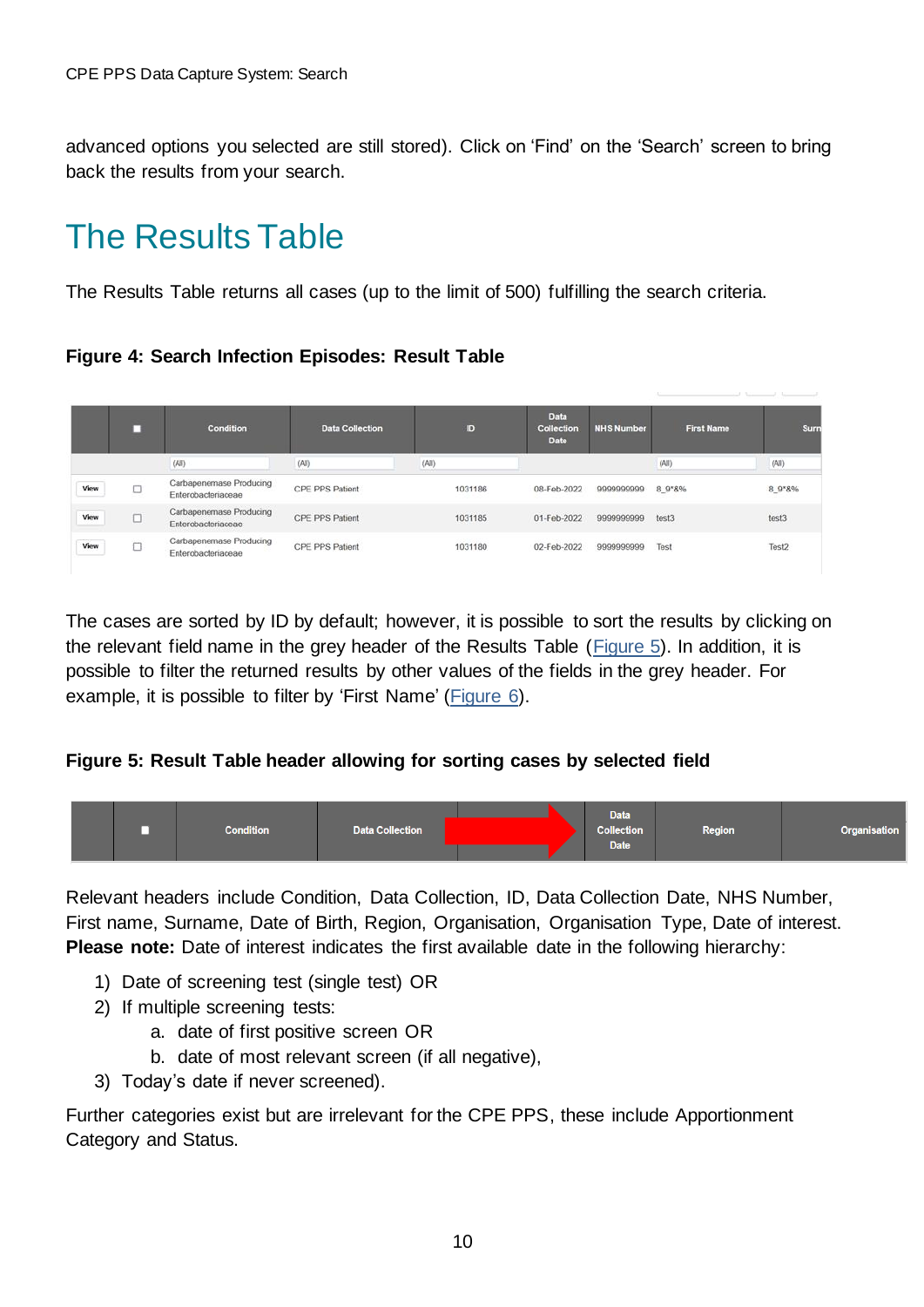advanced options you selected are still stored). Click on 'Find' on the 'Search' screen to bring back the results from your search.

## <span id="page-9-0"></span>The Results Table

The Results Table returns all cases (up to the limit of 500) fulfilling the search criteria.

### <span id="page-9-1"></span>**Figure 4: Search Infection Episodes: Result Table**

|      | п       | <b>Condition</b>                              | <b>Data Collection</b> | ID      | <b>Data</b><br>Collection<br><b>Date</b> | <b>NHS Number</b> | <b>First Name</b> | Surn   |
|------|---------|-----------------------------------------------|------------------------|---------|------------------------------------------|-------------------|-------------------|--------|
|      |         | (AII)                                         | (AII)                  | (AII)   |                                          |                   | (A  )             | (AII)  |
| View | □       | Carbapenemase Producing<br>Enterobacteriaceae | CPE PPS Patient        | 1031186 | 08-Feb-2022                              | 9999999999        | 8 9 8%            | 8 9 8% |
| View | points. | Carbapenemase Producing<br>Enterobacteriaceae | CPE PPS Patient        | 1031185 | 01-Feb-2022                              | 9999999999        | test <sub>3</sub> | test3  |
| View | Ò       | Carbapenemase Producing<br>Enterobacteriaceae | CPE PPS Patient        | 1031180 | 02-Feb-2022                              | 9999999999        | Test              | Test2  |

The cases are sorted by ID by default; however, it is possible to sort the results by clicking on the relevant field name in the grey header of the Results Table [\(Figure 5\)](#page-9-2). In addition, it is possible to filter the returned results by other values of the fields in the grey header. For example, it is possible to filter by 'First Name' [\(Figure 6\)](#page-10-1).

### <span id="page-9-2"></span>**Figure 5: Result Table header allowing for sorting cases by selected field**



Relevant headers include Condition, Data Collection, ID, Data Collection Date, NHS Number, First name, Surname, Date of Birth, Region, Organisation, Organisation Type, Date of interest. **Please note:** Date of interest indicates the first available date in the following hierarchy:

- 1) Date of screening test (single test) OR
- 2) If multiple screening tests:
	- a. date of first positive screen OR
	- b. date of most relevant screen (if all negative),
- 3) Today's date if never screened).

Further categories exist but are irrelevant for the CPE PPS, these include Apportionment Category and Status.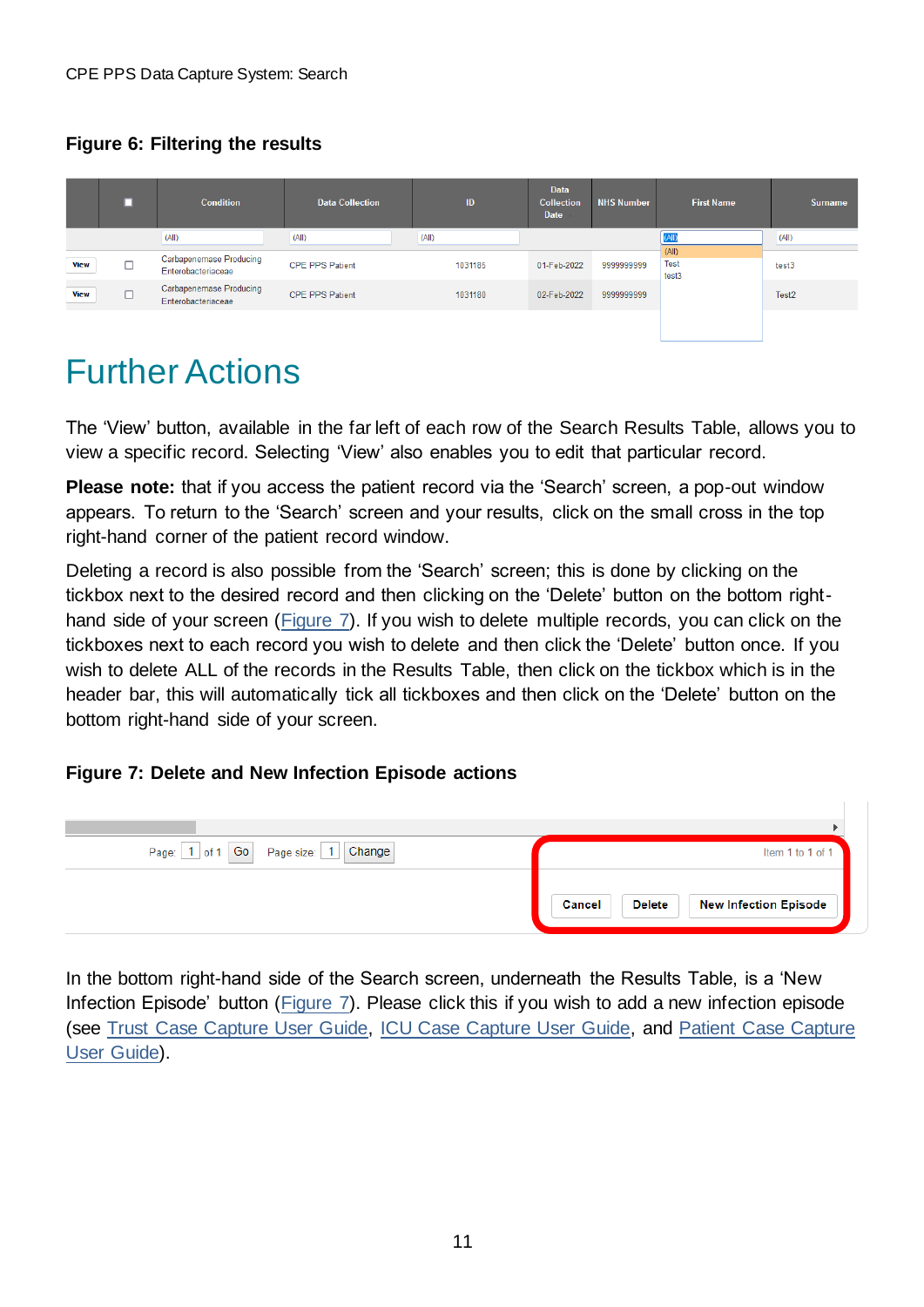## <span id="page-10-1"></span>**Figure 6: Filtering the results**

|             | □ | <b>Condition</b>                                     | <b>Data Collection</b> | ID      | <b>Data</b><br><b>Collection</b><br>Date | <b>NHS Number</b> | <b>First Name</b>             | <b>Surname</b>    |
|-------------|---|------------------------------------------------------|------------------------|---------|------------------------------------------|-------------------|-------------------------------|-------------------|
|             |   | (AII)                                                | (AII)                  | (AII)   |                                          |                   |                               | (All)             |
| <b>View</b> |   | <b>Carbapenemase Producing</b><br>Enterobacteriaceae | <b>CPE PPS Patient</b> | 1031185 | 01-Feb-2022                              | 9999999999        | (AII)<br><b>Test</b><br>test3 | test3             |
| <b>View</b> |   | <b>Carbapenemase Producing</b><br>Enterobacteriaceae | <b>CPE PPS Patient</b> | 1031180 | 02-Feb-2022                              | 9999999999        |                               | Test <sub>2</sub> |
|             |   |                                                      |                        |         |                                          |                   |                               |                   |

## <span id="page-10-0"></span>Further Actions

The 'View' button, available in the far left of each row of the Search Results Table, allows you to view a specific record. Selecting 'View' also enables you to edit that particular record.

**Please note:** that if you access the patient record via the 'Search' screen, a pop-out window appears. To return to the 'Search' screen and your results, click on the small cross in the top right-hand corner of the patient record window.

Deleting a record is also possible from the 'Search' screen; this is done by clicking on the tickbox next to the desired record and then clicking on the 'Delete' button on the bottom righthand side of your screen [\(Figure 7\)](#page-10-2). If you wish to delete multiple records, you can click on the tickboxes next to each record you wish to delete and then click the 'Delete' button once. If you wish to delete ALL of the records in the Results Table, then click on the tickbox which is in the header bar, this will automatically tick all tickboxes and then click on the 'Delete' button on the bottom right-hand side of your screen.

### <span id="page-10-2"></span>**Figure 7: Delete and New Infection Episode actions**

| Page: 1 of 1 Go Page size: 1 Change | Item 1 to 1 of 1                                        |
|-------------------------------------|---------------------------------------------------------|
|                                     | Cancel<br><b>Delete</b><br><b>New Infection Episode</b> |

In the bottom right-hand side of the Search screen, underneath the Results Table, is a 'New Infection Episode' button [\(Figure 7\)](#page-10-2). Please click this if you wish to add a new infection episode (see [Trust Case Capture User Guide,](https://icudcs.phe.org.uk/ContentManagement/LinksAndAnnouncements/CPEPPSDCS_UserManagement_Trust_CaseCapture_UserGuide_v1.0.pdf) [ICU Case Capture User Guide,](https://icudcs.phe.org.uk/ContentManagement/LinksAndAnnouncements/CPEPPSDCS_UserManagement_ICU_CaseCapture_UserGuide_v1.0.pdf) and [Patient Case Capture](https://icudcs.phe.org.uk/ContentManagement/LinksAndAnnouncements/CPEPPSDCS_UserManagement_Patient_CaseCapture_UserGuide_v1.0.pdf)  [User Guide\)](https://icudcs.phe.org.uk/ContentManagement/LinksAndAnnouncements/CPEPPSDCS_UserManagement_Patient_CaseCapture_UserGuide_v1.0.pdf).